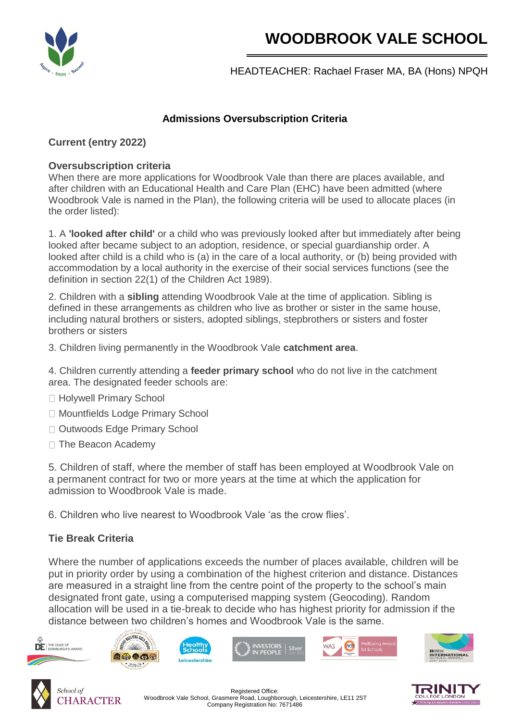

# **WOODBROOK VALE SCHOOL**

HEADTEACHER: Rachael Fraser MA, BA (Hons) NPQH

### **Admissions Oversubscription Criteria**

#### **Current (entry 2022)**

#### **Oversubscription criteria**

When there are more applications for Woodbrook Vale than there are places available, and after children with an Educational Health and Care Plan (EHC) have been admitted (where Woodbrook Vale is named in the Plan), the following criteria will be used to allocate places (in the order listed):

1. A **'looked after child'** or a child who was previously looked after but immediately after being looked after became subject to an adoption, residence, or special guardianship order. A looked after child is a child who is (a) in the care of a local authority, or (b) being provided with accommodation by a local authority in the exercise of their social services functions (see the definition in section 22(1) of the Children Act 1989).

2. Children with a **sibling** attending Woodbrook Vale at the time of application. Sibling is defined in these arrangements as children who live as brother or sister in the same house, including natural brothers or sisters, adopted siblings, stepbrothers or sisters and foster brothers or sisters

3. Children living permanently in the Woodbrook Vale **catchment area**.

4. Children currently attending a **feeder primary school** who do not live in the catchment area. The designated feeder schools are:

- □ Holywell Primary School
- □ Mountfields Lodge Primary School
- □ Outwoods Edge Primary School
- □ The Beacon Academy

5. Children of staff, where the member of staff has been employed at Woodbrook Vale on a permanent contract for two or more years at the time at which the application for admission to Woodbrook Vale is made.

6. Children who live nearest to Woodbrook Vale 'as the crow flies'.

#### **Tie Break Criteria**

Where the number of applications exceeds the number of places available, children will be put in priority order by using a combination of the highest criterion and distance. Distances are measured in a straight line from the centre point of the property to the school's main designated front gate, using a computerised mapping system (Geocoding). Random allocation will be used in a tie-break to decide who has highest priority for admission if the distance between two children's homes and Woodbrook Vale is the same.





School of

**CHARACTER** 

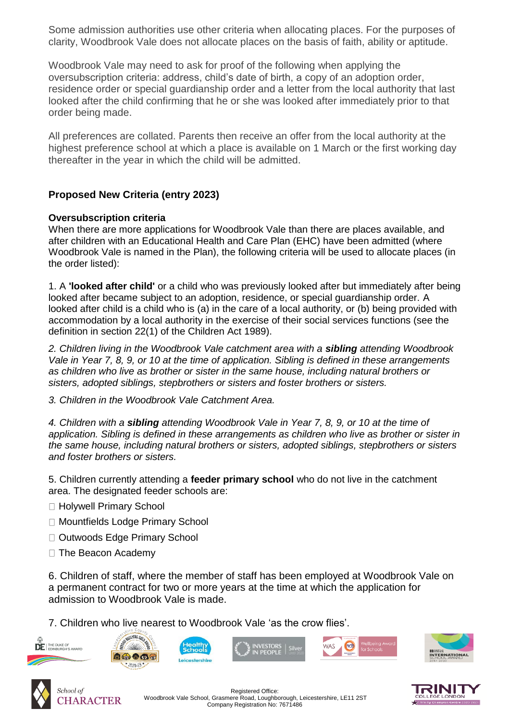Some admission authorities use other criteria when allocating places. For the purposes of clarity, Woodbrook Vale does not allocate places on the basis of faith, ability or aptitude.

Woodbrook Vale may need to ask for proof of the following when applying the oversubscription criteria: address, child's date of birth, a copy of an adoption order, residence order or special guardianship order and a letter from the local authority that last looked after the child confirming that he or she was looked after immediately prior to that order being made.

All preferences are collated. Parents then receive an offer from the local authority at the highest preference school at which a place is available on 1 March or the first working day thereafter in the year in which the child will be admitted.

# **Proposed New Criteria (entry 2023)**

## **Oversubscription criteria**

When there are more applications for Woodbrook Vale than there are places available, and after children with an Educational Health and Care Plan (EHC) have been admitted (where Woodbrook Vale is named in the Plan), the following criteria will be used to allocate places (in the order listed):

1. A **'looked after child'** or a child who was previously looked after but immediately after being looked after became subject to an adoption, residence, or special guardianship order. A looked after child is a child who is (a) in the care of a local authority, or (b) being provided with accommodation by a local authority in the exercise of their social services functions (see the definition in section 22(1) of the Children Act 1989).

*2. Children living in the Woodbrook Vale catchment area with a sibling attending Woodbrook Vale in Year 7, 8, 9, or 10 at the time of application. Sibling is defined in these arrangements as children who live as brother or sister in the same house, including natural brothers or sisters, adopted siblings, stepbrothers or sisters and foster brothers or sisters.*

*3. Children in the Woodbrook Vale Catchment Area.*

*4. Children with a sibling attending Woodbrook Vale in Year 7, 8, 9, or 10 at the time of application. Sibling is defined in these arrangements as children who live as brother or sister in the same house, including natural brothers or sisters, adopted siblings, stepbrothers or sisters and foster brothers or sisters.*

5. Children currently attending a **feeder primary school** who do not live in the catchment area. The designated feeder schools are:

- □ Holywell Primary School
- □ Mountfields Lodge Primary School
- □ Outwoods Edge Primary School
- $\Box$  The Beacon Academy

6. Children of staff, where the member of staff has been employed at Woodbrook Vale on a permanent contract for two or more years at the time at which the application for admission to Woodbrook Vale is made.

7. Children who live nearest to Woodbrook Vale 'as the crow flies'.